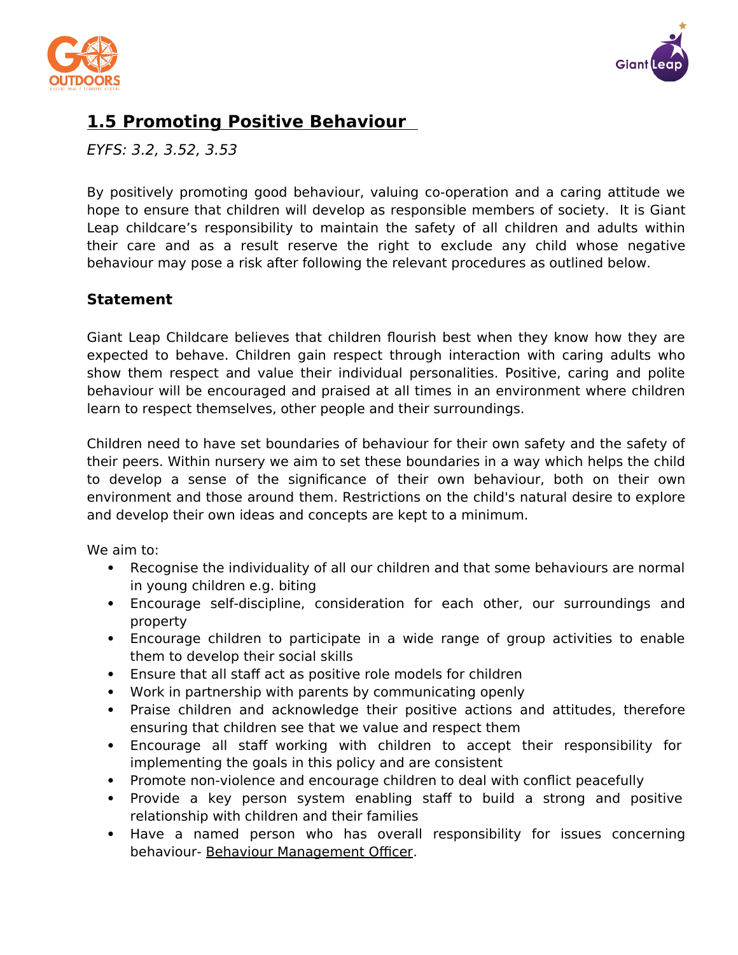



# **1.5 Promoting Positive Behaviour**

EYFS: 3.2, 3.52, 3.53

By positively promoting good behaviour, valuing co-operation and a caring attitude we hope to ensure that children will develop as responsible members of society. It is Giant Leap childcare's responsibility to maintain the safety of all children and adults within their care and as a result reserve the right to exclude any child whose negative behaviour may pose a risk after following the relevant procedures as outlined below.

### **Statement**

Giant Leap Childcare believes that children flourish best when they know how they are expected to behave. Children gain respect through interaction with caring adults who show them respect and value their individual personalities. Positive, caring and polite behaviour will be encouraged and praised at all times in an environment where children learn to respect themselves, other people and their surroundings.

Children need to have set boundaries of behaviour for their own safety and the safety of their peers. Within nursery we aim to set these boundaries in a way which helps the child to develop a sense of the significance of their own behaviour, both on their own environment and those around them. Restrictions on the child's natural desire to explore and develop their own ideas and concepts are kept to a minimum.

We aim to:

- Recognise the individuality of all our children and that some behaviours are normal in young children e.g. biting
- Encourage self-discipline, consideration for each other, our surroundings and property
- Encourage children to participate in a wide range of group activities to enable them to develop their social skills
- Ensure that all staff act as positive role models for children
- Work in partnership with parents by communicating openly
- Praise children and acknowledge their positive actions and attitudes, therefore ensuring that children see that we value and respect them
- Encourage all staff working with children to accept their responsibility for implementing the goals in this policy and are consistent
- Promote non-violence and encourage children to deal with conflict peacefully
- Provide a key person system enabling staff to build a strong and positive relationship with children and their families
- Have a named person who has overall responsibility for issues concerning behaviour- Behaviour Management Officer.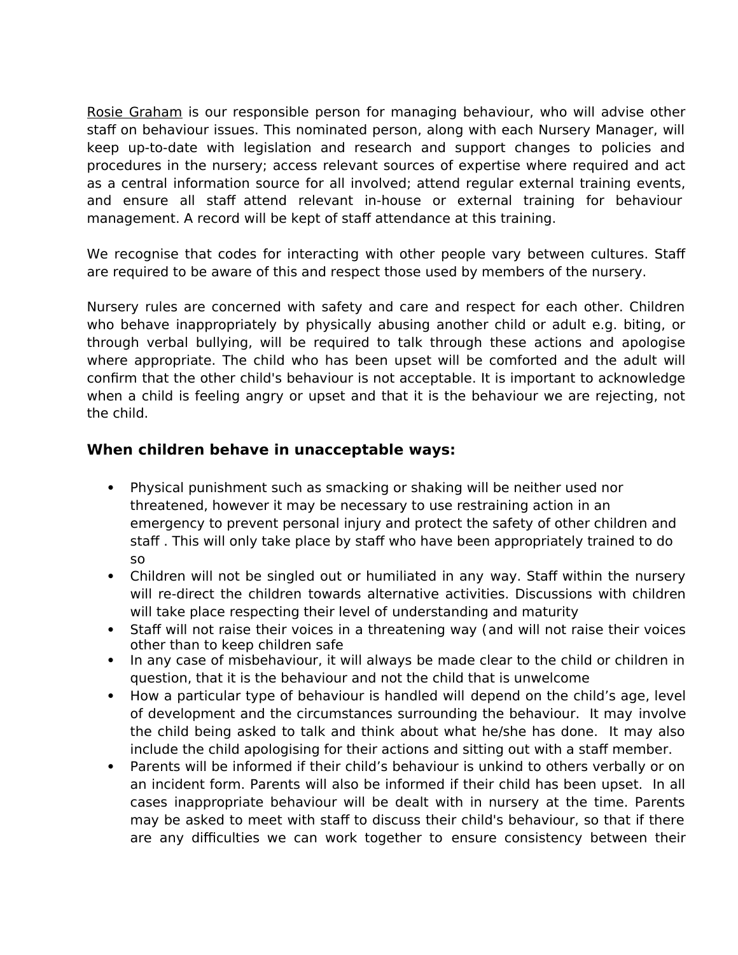Rosie Graham is our responsible person for managing behaviour, who will advise other staff on behaviour issues. This nominated person, along with each Nursery Manager, will keep up-to-date with legislation and research and support changes to policies and procedures in the nursery; access relevant sources of expertise where required and act as a central information source for all involved; attend regular external training events, and ensure all staff attend relevant in-house or external training for behaviour management. A record will be kept of staff attendance at this training.

We recognise that codes for interacting with other people vary between cultures. Staff are required to be aware of this and respect those used by members of the nursery.

Nursery rules are concerned with safety and care and respect for each other. Children who behave inappropriately by physically abusing another child or adult e.g. biting, or through verbal bullying, will be required to talk through these actions and apologise where appropriate. The child who has been upset will be comforted and the adult will confirm that the other child's behaviour is not acceptable. It is important to acknowledge when a child is feeling angry or upset and that it is the behaviour we are rejecting, not the child.

#### **When children behave in unacceptable ways:**

- Physical punishment such as smacking or shaking will be neither used nor threatened, however it may be necessary to use restraining action in an emergency to prevent personal injury and protect the safety of other children and staff . This will only take place by staff who have been appropriately trained to do so
- Children will not be singled out or humiliated in any way. Staff within the nursery will re-direct the children towards alternative activities. Discussions with children will take place respecting their level of understanding and maturity
- Staff will not raise their voices in a threatening way (and will not raise their voices other than to keep children safe
- In any case of misbehaviour, it will always be made clear to the child or children in question, that it is the behaviour and not the child that is unwelcome
- How a particular type of behaviour is handled will depend on the child's age, level of development and the circumstances surrounding the behaviour. It may involve the child being asked to talk and think about what he/she has done. It may also include the child apologising for their actions and sitting out with a staff member.
- Parents will be informed if their child's behaviour is unkind to others verbally or on an incident form. Parents will also be informed if their child has been upset. In all cases inappropriate behaviour will be dealt with in nursery at the time. Parents may be asked to meet with staff to discuss their child's behaviour, so that if there are any difficulties we can work together to ensure consistency between their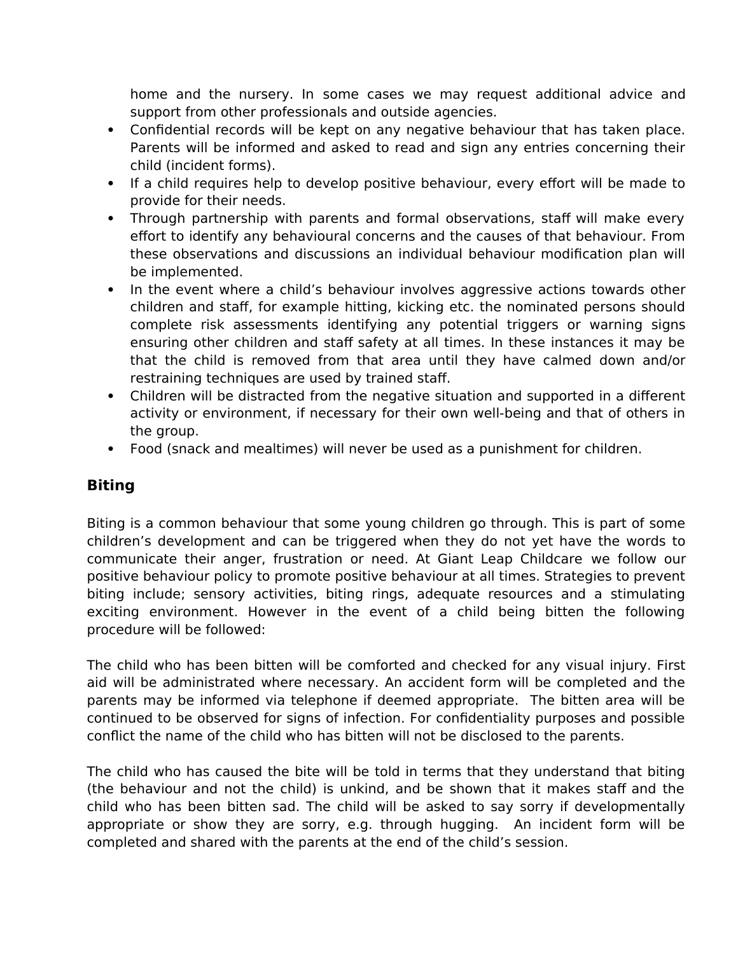home and the nursery. In some cases we may request additional advice and support from other professionals and outside agencies.

- Confidential records will be kept on any negative behaviour that has taken place. Parents will be informed and asked to read and sign any entries concerning their child (incident forms).
- If a child requires help to develop positive behaviour, every effort will be made to provide for their needs.
- Through partnership with parents and formal observations, staff will make every effort to identify any behavioural concerns and the causes of that behaviour. From these observations and discussions an individual behaviour modification plan will be implemented.
- In the event where a child's behaviour involves aggressive actions towards other children and staff, for example hitting, kicking etc. the nominated persons should complete risk assessments identifying any potential triggers or warning signs ensuring other children and staff safety at all times. In these instances it may be that the child is removed from that area until they have calmed down and/or restraining techniques are used by trained staff.
- Children will be distracted from the negative situation and supported in a different activity or environment, if necessary for their own well-being and that of others in the group.
- Food (snack and mealtimes) will never be used as a punishment for children.

#### **Biting**

Biting is a common behaviour that some young children go through. This is part of some children's development and can be triggered when they do not yet have the words to communicate their anger, frustration or need. At Giant Leap Childcare we follow our positive behaviour policy to promote positive behaviour at all times. Strategies to prevent biting include; sensory activities, biting rings, adequate resources and a stimulating exciting environment. However in the event of a child being bitten the following procedure will be followed:

The child who has been bitten will be comforted and checked for any visual injury. First aid will be administrated where necessary. An accident form will be completed and the parents may be informed via telephone if deemed appropriate. The bitten area will be continued to be observed for signs of infection. For confidentiality purposes and possible conflict the name of the child who has bitten will not be disclosed to the parents.

The child who has caused the bite will be told in terms that they understand that biting (the behaviour and not the child) is unkind, and be shown that it makes staff and the child who has been bitten sad. The child will be asked to say sorry if developmentally appropriate or show they are sorry, e.g. through hugging. An incident form will be completed and shared with the parents at the end of the child's session.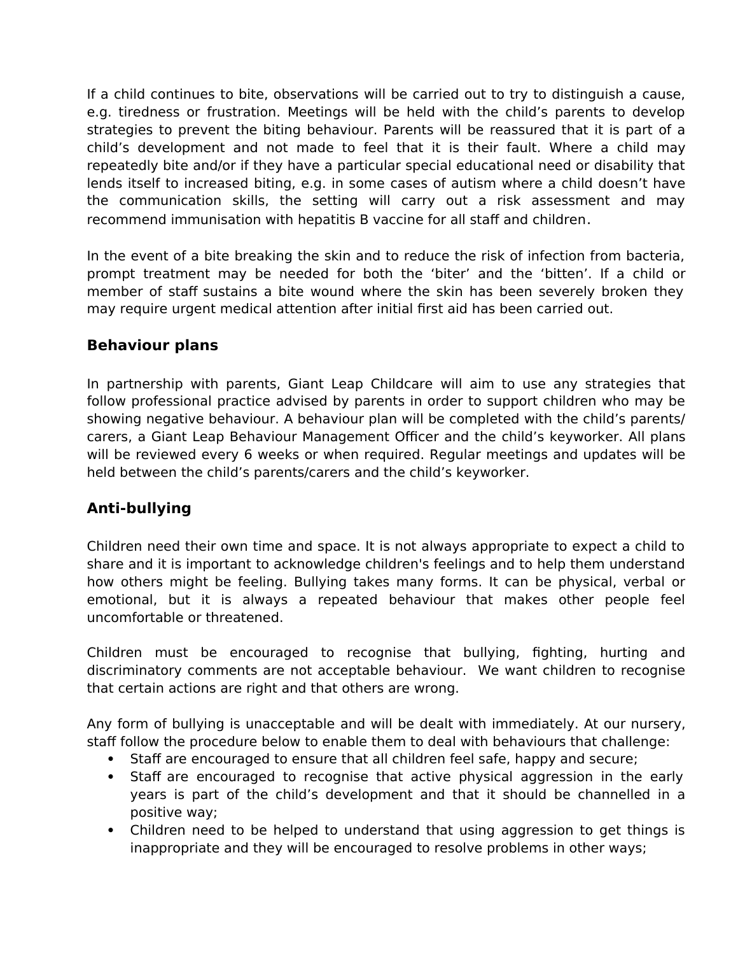If a child continues to bite, observations will be carried out to try to distinguish a cause, e.g. tiredness or frustration. Meetings will be held with the child's parents to develop strategies to prevent the biting behaviour. Parents will be reassured that it is part of a child's development and not made to feel that it is their fault. Where a child may repeatedly bite and/or if they have a particular special educational need or disability that lends itself to increased biting, e.g. in some cases of autism where a child doesn't have the communication skills, the setting will carry out a risk assessment and may recommend immunisation with hepatitis B vaccine for all staff and children.

In the event of a bite breaking the skin and to reduce the risk of infection from bacteria, prompt treatment may be needed for both the 'biter' and the 'bitten'. If a child or member of staff sustains a bite wound where the skin has been severely broken they may require urgent medical attention after initial first aid has been carried out.

#### **Behaviour plans**

In partnership with parents, Giant Leap Childcare will aim to use any strategies that follow professional practice advised by parents in order to support children who may be showing negative behaviour. A behaviour plan will be completed with the child's parents/ carers, a Giant Leap Behaviour Management Officer and the child's keyworker. All plans will be reviewed every 6 weeks or when required. Regular meetings and updates will be held between the child's parents/carers and the child's keyworker.

### **Anti-bullying**

Children need their own time and space. It is not always appropriate to expect a child to share and it is important to acknowledge children's feelings and to help them understand how others might be feeling. Bullying takes many forms. It can be physical, verbal or emotional, but it is always a repeated behaviour that makes other people feel uncomfortable or threatened.

Children must be encouraged to recognise that bullying, fighting, hurting and discriminatory comments are not acceptable behaviour. We want children to recognise that certain actions are right and that others are wrong.

Any form of bullying is unacceptable and will be dealt with immediately. At our nursery, staff follow the procedure below to enable them to deal with behaviours that challenge:

- Staff are encouraged to ensure that all children feel safe, happy and secure;
- Staff are encouraged to recognise that active physical aggression in the early years is part of the child's development and that it should be channelled in a positive way;
- Children need to be helped to understand that using aggression to get things is inappropriate and they will be encouraged to resolve problems in other ways;